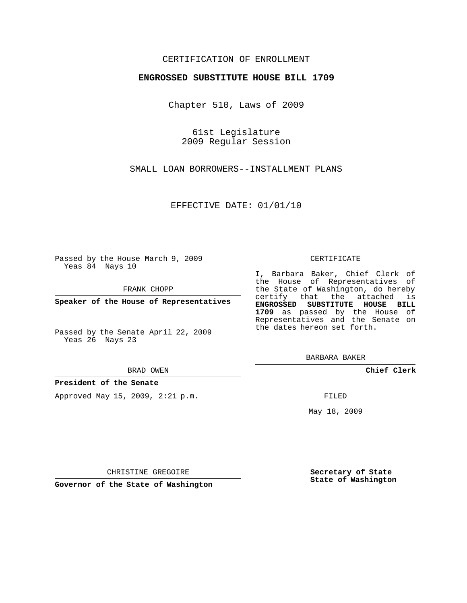# CERTIFICATION OF ENROLLMENT

## **ENGROSSED SUBSTITUTE HOUSE BILL 1709**

Chapter 510, Laws of 2009

61st Legislature 2009 Regular Session

SMALL LOAN BORROWERS--INSTALLMENT PLANS

EFFECTIVE DATE: 01/01/10

Passed by the House March 9, 2009 Yeas 84 Nays 10

FRANK CHOPP

**Speaker of the House of Representatives**

Passed by the Senate April 22, 2009 Yeas 26 Nays 23

#### BRAD OWEN

## **President of the Senate**

Approved May 15, 2009, 2:21 p.m.

#### CERTIFICATE

I, Barbara Baker, Chief Clerk of the House of Representatives of the State of Washington, do hereby certify that the attached is **ENGROSSED SUBSTITUTE HOUSE BILL 1709** as passed by the House of Representatives and the Senate on the dates hereon set forth.

BARBARA BAKER

**Chief Clerk**

FILED

May 18, 2009

**Secretary of State State of Washington**

CHRISTINE GREGOIRE

**Governor of the State of Washington**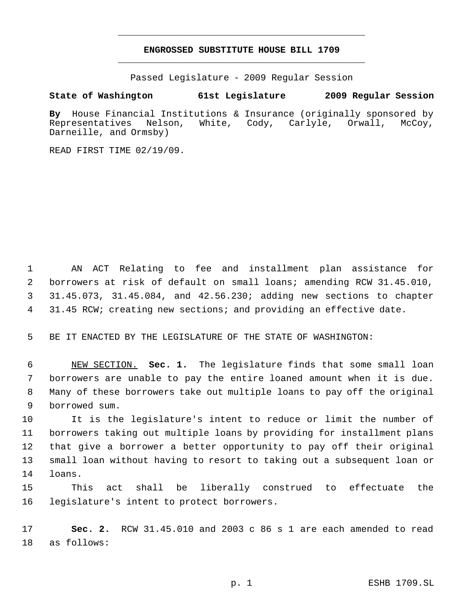# **ENGROSSED SUBSTITUTE HOUSE BILL 1709** \_\_\_\_\_\_\_\_\_\_\_\_\_\_\_\_\_\_\_\_\_\_\_\_\_\_\_\_\_\_\_\_\_\_\_\_\_\_\_\_\_\_\_\_\_

\_\_\_\_\_\_\_\_\_\_\_\_\_\_\_\_\_\_\_\_\_\_\_\_\_\_\_\_\_\_\_\_\_\_\_\_\_\_\_\_\_\_\_\_\_

Passed Legislature - 2009 Regular Session

# **State of Washington 61st Legislature 2009 Regular Session**

**By** House Financial Institutions & Insurance (originally sponsored by Representatives Nelson, White, Cody, Carlyle, Orwall, McCoy, Darneille, and Ormsby)

READ FIRST TIME 02/19/09.

 AN ACT Relating to fee and installment plan assistance for borrowers at risk of default on small loans; amending RCW 31.45.010, 31.45.073, 31.45.084, and 42.56.230; adding new sections to chapter 31.45 RCW; creating new sections; and providing an effective date.

BE IT ENACTED BY THE LEGISLATURE OF THE STATE OF WASHINGTON:

 NEW SECTION. **Sec. 1.** The legislature finds that some small loan borrowers are unable to pay the entire loaned amount when it is due. Many of these borrowers take out multiple loans to pay off the original borrowed sum.

 It is the legislature's intent to reduce or limit the number of borrowers taking out multiple loans by providing for installment plans that give a borrower a better opportunity to pay off their original small loan without having to resort to taking out a subsequent loan or loans.

 This act shall be liberally construed to effectuate the legislature's intent to protect borrowers.

 **Sec. 2.** RCW 31.45.010 and 2003 c 86 s 1 are each amended to read as follows: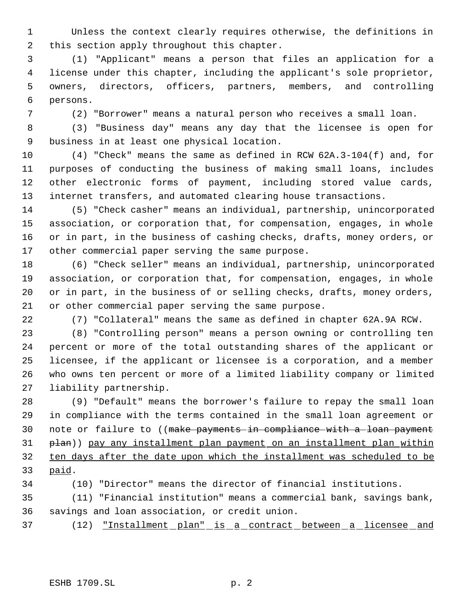Unless the context clearly requires otherwise, the definitions in this section apply throughout this chapter.

 (1) "Applicant" means a person that files an application for a license under this chapter, including the applicant's sole proprietor, owners, directors, officers, partners, members, and controlling persons.

(2) "Borrower" means a natural person who receives a small loan.

 (3) "Business day" means any day that the licensee is open for business in at least one physical location.

 (4) "Check" means the same as defined in RCW 62A.3-104(f) and, for purposes of conducting the business of making small loans, includes other electronic forms of payment, including stored value cards, internet transfers, and automated clearing house transactions.

 (5) "Check casher" means an individual, partnership, unincorporated association, or corporation that, for compensation, engages, in whole or in part, in the business of cashing checks, drafts, money orders, or other commercial paper serving the same purpose.

 (6) "Check seller" means an individual, partnership, unincorporated association, or corporation that, for compensation, engages, in whole or in part, in the business of or selling checks, drafts, money orders, or other commercial paper serving the same purpose.

(7) "Collateral" means the same as defined in chapter 62A.9A RCW.

 (8) "Controlling person" means a person owning or controlling ten percent or more of the total outstanding shares of the applicant or licensee, if the applicant or licensee is a corporation, and a member who owns ten percent or more of a limited liability company or limited liability partnership.

 (9) "Default" means the borrower's failure to repay the small loan in compliance with the terms contained in the small loan agreement or 30 note or failure to ((make payments in compliance with a loan payment plan)) pay any installment plan payment on an installment plan within ten days after the date upon which the installment was scheduled to be paid.

(10) "Director" means the director of financial institutions.

 (11) "Financial institution" means a commercial bank, savings bank, savings and loan association, or credit union.

(12) "Installment plan" is a contract between a licensee and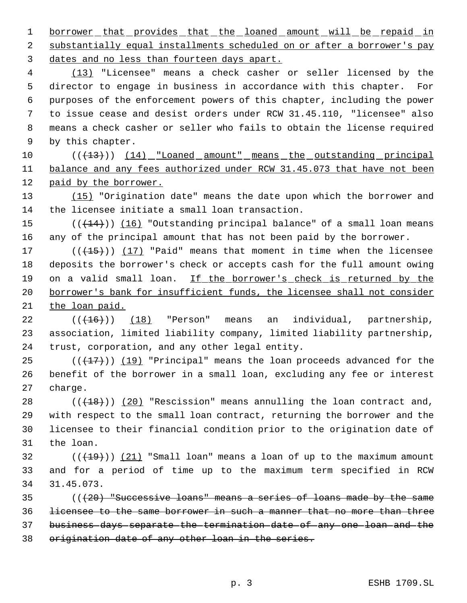1 borrower that provides that the loaned amount will be repaid in 2 substantially equal installments scheduled on or after a borrower's pay dates and no less than fourteen days apart.

 (13) "Licensee" means a check casher or seller licensed by the director to engage in business in accordance with this chapter. For purposes of the enforcement powers of this chapter, including the power to issue cease and desist orders under RCW 31.45.110, "licensee" also means a check casher or seller who fails to obtain the license required by this chapter.

10 (( $\left(\frac{13}{13}\right)$ ) (14) "Loaned amount" means the outstanding principal balance and any fees authorized under RCW 31.45.073 that have not been paid by the borrower.

13 (15) "Origination date" means the date upon which the borrower and the licensee initiate a small loan transaction.

15  $((+14))$   $(16)$  "Outstanding principal balance" of a small loan means any of the principal amount that has not been paid by the borrower.

 $((+15))$   $(17)$  "Paid" means that moment in time when the licensee deposits the borrower's check or accepts cash for the full amount owing 19 on a valid small loan. If the borrower's check is returned by the borrower's bank for insufficient funds, the licensee shall not consider the loan paid.

22  $((+16))$  (18) "Person" means an individual, partnership, association, limited liability company, limited liability partnership, trust, corporation, and any other legal entity.

25  $((+17))$   $(19)$  "Principal" means the loan proceeds advanced for the benefit of the borrower in a small loan, excluding any fee or interest charge.

 $((+18))$   $(20)$  "Rescission" means annulling the loan contract and, with respect to the small loan contract, returning the borrower and the licensee to their financial condition prior to the origination date of the loan.

32  $((+19))$  (21) "Small loan" means a loan of up to the maximum amount and for a period of time up to the maximum term specified in RCW 31.45.073.

 (( $(20)$  "Successive loans" means a series of loans made by the same licensee to the same borrower in such a manner that no more than three business days separate the termination date of any one loan and the origination date of any other loan in the series.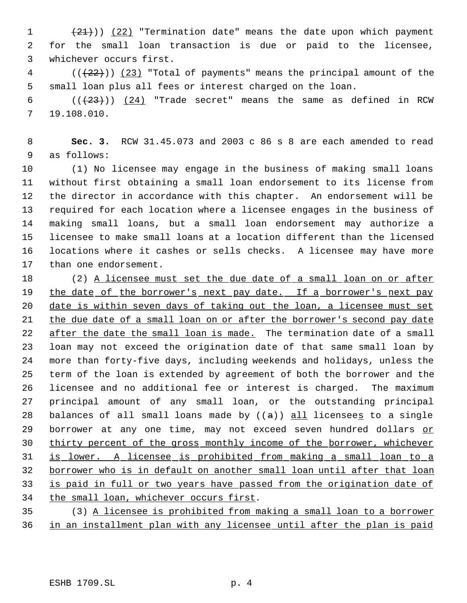1 (21))) (22) "Termination date" means the date upon which payment for the small loan transaction is due or paid to the licensee, whichever occurs first.

 ( $(\frac{22}{12})$ ) (23) "Total of payments" means the principal amount of the small loan plus all fees or interest charged on the loan.

 $((+23))$   $(24)$  "Trade secret" means the same as defined in RCW 19.108.010.

 **Sec. 3.** RCW 31.45.073 and 2003 c 86 s 8 are each amended to read as follows:

 (1) No licensee may engage in the business of making small loans without first obtaining a small loan endorsement to its license from the director in accordance with this chapter. An endorsement will be required for each location where a licensee engages in the business of making small loans, but a small loan endorsement may authorize a licensee to make small loans at a location different than the licensed locations where it cashes or sells checks. A licensee may have more than one endorsement.

18 (2) A licensee must set the due date of a small loan on or after 19 the date of the borrower's next pay date. If a borrower's next pay date is within seven days of taking out the loan, a licensee must set the due date of a small loan on or after the borrower's second pay date 22 after the date the small loan is made. The termination date of a small loan may not exceed the origination date of that same small loan by more than forty-five days, including weekends and holidays, unless the term of the loan is extended by agreement of both the borrower and the licensee and no additional fee or interest is charged. The maximum principal amount of any small loan, or the outstanding principal 28 balances of all small loans made by  $((a))$  all licensees to a single 29 borrower at any one time, may not exceed seven hundred dollars or thirty percent of the gross monthly income of the borrower, whichever is lower. A licensee is prohibited from making a small loan to a borrower who is in default on another small loan until after that loan is paid in full or two years have passed from the origination date of 34 the small loan, whichever occurs first.

 (3) A licensee is prohibited from making a small loan to a borrower in an installment plan with any licensee until after the plan is paid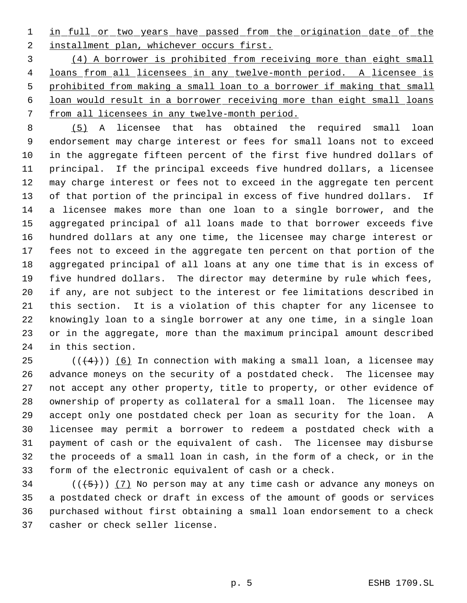1 in full or two years have passed from the origination date of the 2 installment plan, whichever occurs first.

 (4) A borrower is prohibited from receiving more than eight small loans from all licensees in any twelve-month period. A licensee is prohibited from making a small loan to a borrower if making that small loan would result in a borrower receiving more than eight small loans from all licensees in any twelve-month period.

 (5) A licensee that has obtained the required small loan endorsement may charge interest or fees for small loans not to exceed in the aggregate fifteen percent of the first five hundred dollars of principal. If the principal exceeds five hundred dollars, a licensee may charge interest or fees not to exceed in the aggregate ten percent of that portion of the principal in excess of five hundred dollars. If a licensee makes more than one loan to a single borrower, and the aggregated principal of all loans made to that borrower exceeds five hundred dollars at any one time, the licensee may charge interest or fees not to exceed in the aggregate ten percent on that portion of the aggregated principal of all loans at any one time that is in excess of five hundred dollars. The director may determine by rule which fees, if any, are not subject to the interest or fee limitations described in this section. It is a violation of this chapter for any licensee to knowingly loan to a single borrower at any one time, in a single loan or in the aggregate, more than the maximum principal amount described in this section.

 $((4+))$  (6) In connection with making a small loan, a licensee may advance moneys on the security of a postdated check. The licensee may not accept any other property, title to property, or other evidence of ownership of property as collateral for a small loan. The licensee may accept only one postdated check per loan as security for the loan. A licensee may permit a borrower to redeem a postdated check with a payment of cash or the equivalent of cash. The licensee may disburse the proceeds of a small loan in cash, in the form of a check, or in the form of the electronic equivalent of cash or a check.

34 ( $(\overline{\{5\}})$ ) (7) No person may at any time cash or advance any moneys on a postdated check or draft in excess of the amount of goods or services purchased without first obtaining a small loan endorsement to a check casher or check seller license.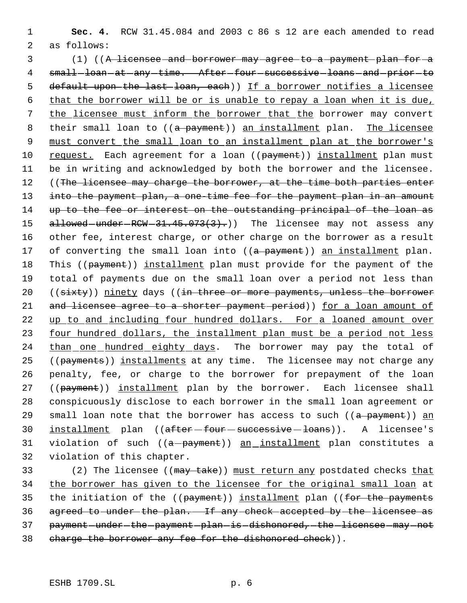1 **Sec. 4.** RCW 31.45.084 and 2003 c 86 s 12 are each amended to read 2 as follows:

 3 (1) ((A licensee and borrower may agree to a payment plan for a 4 small-loan-at-any-time. After-four-successive-loans-and-prior-to 5 default upon the last loan, each)) If a borrower notifies a licensee 6 that the borrower will be or is unable to repay a loan when it is due, 7 the licensee must inform the borrower that the borrower may convert 8 their small loan to ((a payment)) an installment plan. The licensee 9 must convert the small loan to an installment plan at the borrower's 10 request. Each agreement for a loan ((payment)) installment plan must 11 be in writing and acknowledged by both the borrower and the licensee. 12 ((The licensee may charge the borrower, at the time both parties enter 13 into the payment plan, a one-time fee for the payment plan in an amount 14 up to the fee or interest on the outstanding principal of the loan as 15 allowed - under - RCW - 31.45.073(3).) The licensee may not assess any 16 other fee, interest charge, or other charge on the borrower as a result 17 of converting the small loan into ((a payment)) an installment plan. 18 This ((payment)) installment plan must provide for the payment of the 19 total of payments due on the small loan over a period not less than 20 ((sixty)) ninety days ((in three or more payments, unless the borrower 21 and licensee agree to a shorter payment period)) for a loan amount of 22 up to and including four hundred dollars. For a loaned amount over 23 four hundred dollars, the installment plan must be a period not less 24 than one hundred eighty days. The borrower may pay the total of 25 ((payments)) installments at any time. The licensee may not charge any 26 penalty, fee, or charge to the borrower for prepayment of the loan 27 ((payment)) installment plan by the borrower. Each licensee shall 28 conspicuously disclose to each borrower in the small loan agreement or 29 small loan note that the borrower has access to such  $((a\text{ payment}))$  an 30 installment plan ((after four successive loans)). A licensee's 31 violation of such  $((a-payment))$  an installment plan constitutes a 32 violation of this chapter.

33 (2) The licensee ((may take)) must return any postdated checks that 34 the borrower has given to the licensee for the original small loan at 35 the initiation of the ((payment)) installment plan ((for the payments 36 agreed to under the plan. If any check accepted by the licensee as 37 payment-under-the-payment-plan-is-dishonored, the licensee may not 38 charge the borrower any fee for the dishonored check)).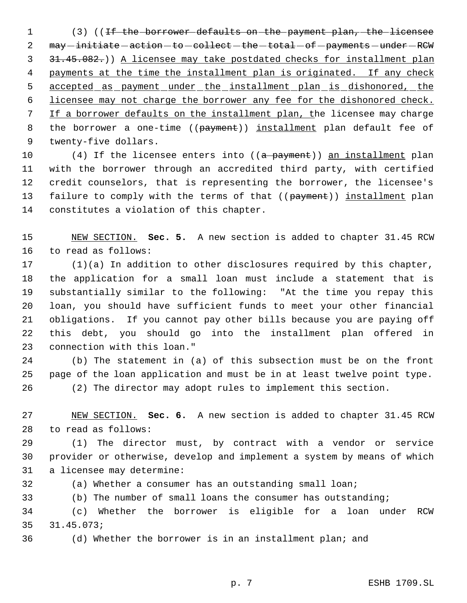1 (3) ((<del>If the borrower defaults on the payment plan, the licensee</del> 2 may initiate action - to - collect - the - total - of - payments - under - RCW 31.45.082.)) A licensee may take postdated checks for installment plan 4 payments at the time the installment plan is originated. If any check 5 accepted as payment under the installment plan is dishonored, the licensee may not charge the borrower any fee for the dishonored check. If a borrower defaults on the installment plan, the licensee may charge 8 the borrower a one-time ((payment)) installment plan default fee of twenty-five dollars.

10 (4) If the licensee enters into ((a payment)) an installment plan with the borrower through an accredited third party, with certified credit counselors, that is representing the borrower, the licensee's 13 failure to comply with the terms of that ((payment)) installment plan constitutes a violation of this chapter.

 NEW SECTION. **Sec. 5.** A new section is added to chapter 31.45 RCW to read as follows:

 (1)(a) In addition to other disclosures required by this chapter, the application for a small loan must include a statement that is substantially similar to the following: "At the time you repay this loan, you should have sufficient funds to meet your other financial obligations. If you cannot pay other bills because you are paying off this debt, you should go into the installment plan offered in connection with this loan."

 (b) The statement in (a) of this subsection must be on the front page of the loan application and must be in at least twelve point type. (2) The director may adopt rules to implement this section.

 NEW SECTION. **Sec. 6.** A new section is added to chapter 31.45 RCW to read as follows:

 (1) The director must, by contract with a vendor or service provider or otherwise, develop and implement a system by means of which a licensee may determine:

(a) Whether a consumer has an outstanding small loan;

(b) The number of small loans the consumer has outstanding;

 (c) Whether the borrower is eligible for a loan under RCW 31.45.073;

(d) Whether the borrower is in an installment plan; and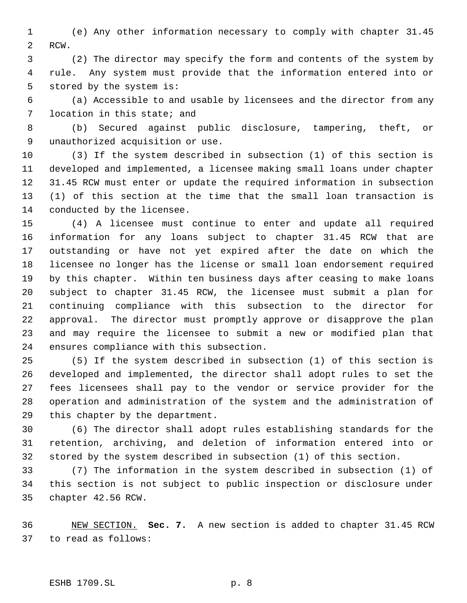(e) Any other information necessary to comply with chapter 31.45 RCW.

 (2) The director may specify the form and contents of the system by rule. Any system must provide that the information entered into or stored by the system is:

 (a) Accessible to and usable by licensees and the director from any location in this state; and

 (b) Secured against public disclosure, tampering, theft, or unauthorized acquisition or use.

 (3) If the system described in subsection (1) of this section is developed and implemented, a licensee making small loans under chapter 31.45 RCW must enter or update the required information in subsection (1) of this section at the time that the small loan transaction is conducted by the licensee.

 (4) A licensee must continue to enter and update all required information for any loans subject to chapter 31.45 RCW that are outstanding or have not yet expired after the date on which the licensee no longer has the license or small loan endorsement required by this chapter. Within ten business days after ceasing to make loans subject to chapter 31.45 RCW, the licensee must submit a plan for continuing compliance with this subsection to the director for approval. The director must promptly approve or disapprove the plan and may require the licensee to submit a new or modified plan that ensures compliance with this subsection.

 (5) If the system described in subsection (1) of this section is developed and implemented, the director shall adopt rules to set the fees licensees shall pay to the vendor or service provider for the operation and administration of the system and the administration of this chapter by the department.

 (6) The director shall adopt rules establishing standards for the retention, archiving, and deletion of information entered into or stored by the system described in subsection (1) of this section.

 (7) The information in the system described in subsection (1) of this section is not subject to public inspection or disclosure under chapter 42.56 RCW.

 NEW SECTION. **Sec. 7.** A new section is added to chapter 31.45 RCW to read as follows: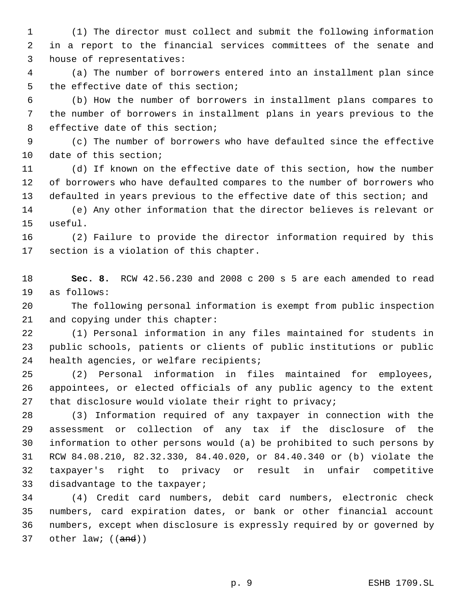(1) The director must collect and submit the following information in a report to the financial services committees of the senate and house of representatives:

 (a) The number of borrowers entered into an installment plan since the effective date of this section;

 (b) How the number of borrowers in installment plans compares to the number of borrowers in installment plans in years previous to the effective date of this section;

 (c) The number of borrowers who have defaulted since the effective date of this section;

 (d) If known on the effective date of this section, how the number of borrowers who have defaulted compares to the number of borrowers who defaulted in years previous to the effective date of this section; and

 (e) Any other information that the director believes is relevant or useful.

 (2) Failure to provide the director information required by this section is a violation of this chapter.

 **Sec. 8.** RCW 42.56.230 and 2008 c 200 s 5 are each amended to read as follows:

 The following personal information is exempt from public inspection and copying under this chapter:

 (1) Personal information in any files maintained for students in public schools, patients or clients of public institutions or public 24 health agencies, or welfare recipients;

 (2) Personal information in files maintained for employees, appointees, or elected officials of any public agency to the extent 27 that disclosure would violate their right to privacy;

 (3) Information required of any taxpayer in connection with the assessment or collection of any tax if the disclosure of the information to other persons would (a) be prohibited to such persons by RCW 84.08.210, 82.32.330, 84.40.020, or 84.40.340 or (b) violate the taxpayer's right to privacy or result in unfair competitive disadvantage to the taxpayer;

 (4) Credit card numbers, debit card numbers, electronic check numbers, card expiration dates, or bank or other financial account numbers, except when disclosure is expressly required by or governed by 37 other law; ((and))